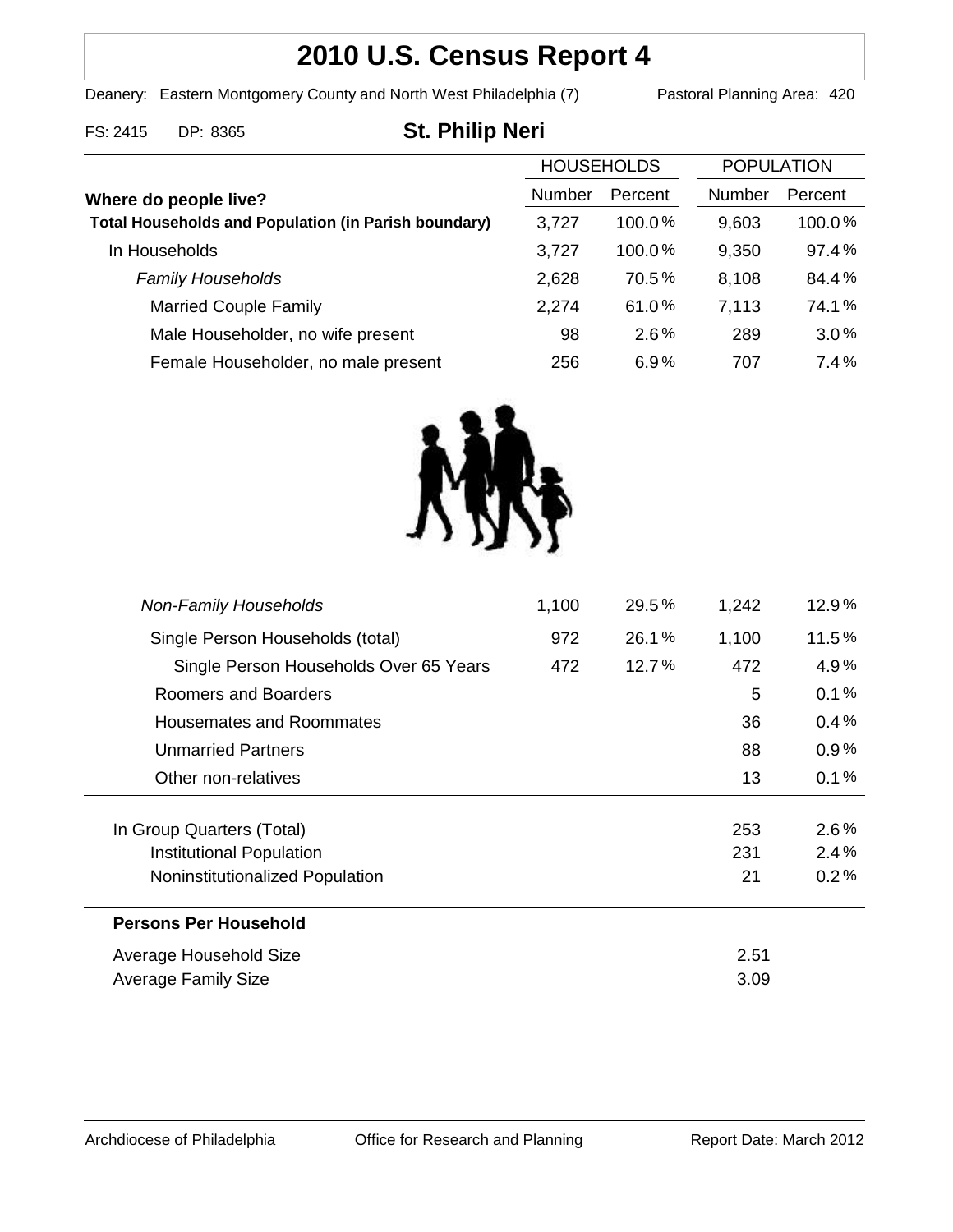# **2010 U.S. Census Report 4**

Deanery: Eastern Montgomery County and North West Philadelphia (7) Pastoral Planning Area: 420

# FS: 2415 DP: 8365 **St. Philip Neri**

|                                                             | <b>HOUSEHOLDS</b> |           | <b>POPULATION</b> |           |
|-------------------------------------------------------------|-------------------|-----------|-------------------|-----------|
| Where do people live?                                       | Number            | Percent   | <b>Number</b>     | Percent   |
| <b>Total Households and Population (in Parish boundary)</b> | 3,727             | $100.0\%$ | 9,603             | $100.0\%$ |
| In Households                                               | 3,727             | 100.0%    | 9,350             | 97.4%     |
| <b>Family Households</b>                                    | 2,628             | 70.5%     | 8,108             | 84.4%     |
| <b>Married Couple Family</b>                                | 2,274             | 61.0%     | 7,113             | 74.1%     |
| Male Householder, no wife present                           | 98                | 2.6%      | 289               | 3.0%      |
| Female Householder, no male present                         | 256               | 6.9%      | 707               | 7.4%      |



| Average Household Size<br><b>Average Family Size</b> |       |       | 2.51<br>3.09 |          |
|------------------------------------------------------|-------|-------|--------------|----------|
| <b>Persons Per Household</b>                         |       |       |              |          |
| Noninstitutionalized Population                      |       |       | 21           | 0.2%     |
| Institutional Population                             |       |       | 231          | 2.4%     |
| In Group Quarters (Total)                            |       |       | 253          | $2.6\%$  |
| Other non-relatives                                  |       |       | 13           | 0.1%     |
| Unmarried Partners                                   |       |       | 88           | $0.9\%$  |
| <b>Housemates and Roommates</b>                      |       |       | 36           | 0.4%     |
| Roomers and Boarders                                 |       |       | 5            | 0.1%     |
| Single Person Households Over 65 Years               | 472   | 12.7% | 472          | 4.9%     |
| Single Person Households (total)                     | 972   | 26.1% | 1,100        | 11.5%    |
| <b>Non-Family Households</b>                         | 1,100 | 29.5% | 1,242        | $12.9\%$ |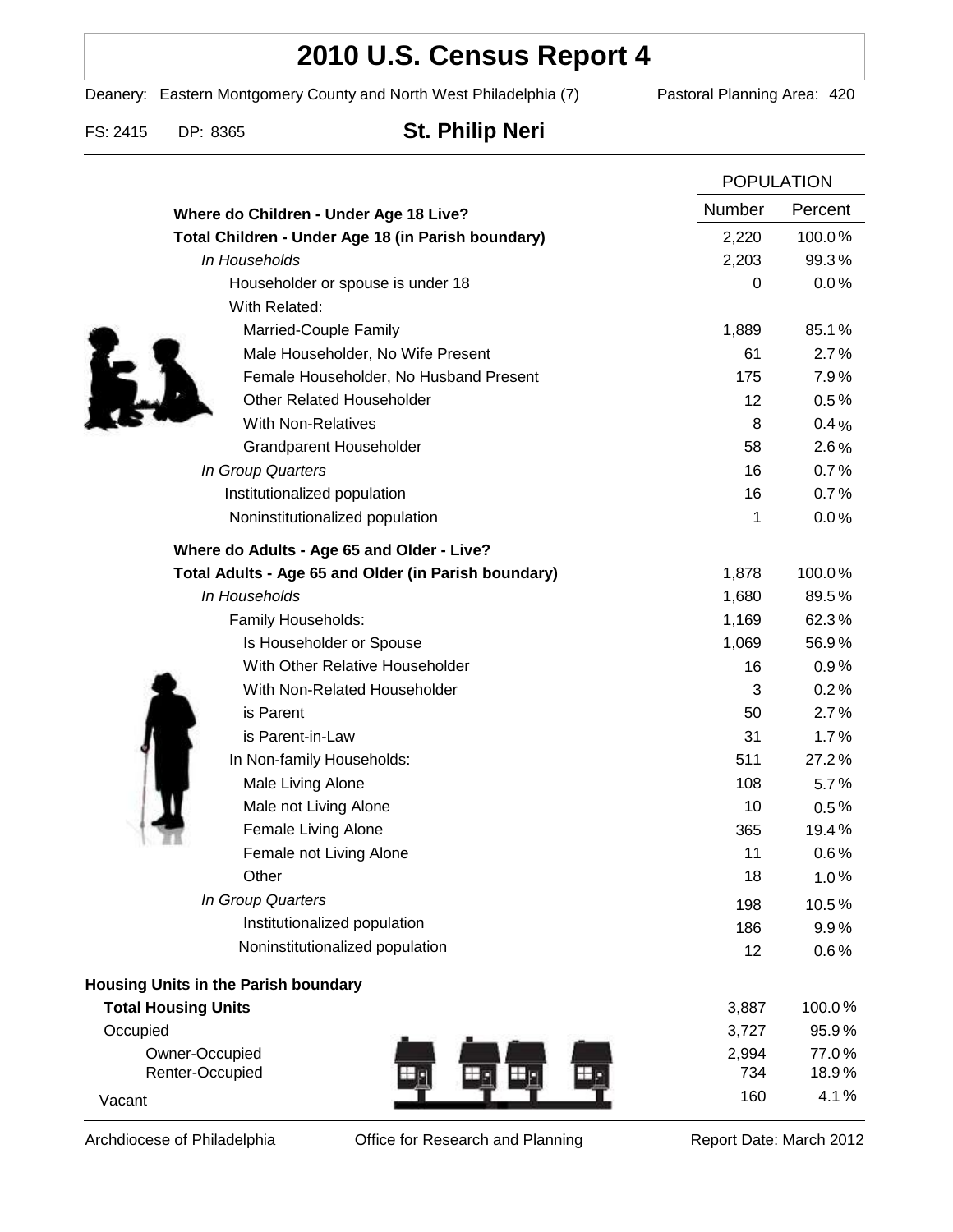# **2010 U.S. Census Report 4**

Deanery: Eastern Montgomery County and North West Philadelphia (7) Pastoral Planning Area: 420

FS: 2415 DP: 8365 **St. Philip Neri**

|                                                      | <b>POPULATION</b> |         |
|------------------------------------------------------|-------------------|---------|
| Where do Children - Under Age 18 Live?               | Number            | Percent |
| Total Children - Under Age 18 (in Parish boundary)   | 2,220             | 100.0%  |
| In Households                                        | 2,203             | 99.3%   |
| Householder or spouse is under 18                    | 0                 | 0.0%    |
| With Related:                                        |                   |         |
| Married-Couple Family                                | 1,889             | 85.1%   |
| Male Householder, No Wife Present                    | 61                | 2.7%    |
| Female Householder, No Husband Present               | 175               | 7.9%    |
| <b>Other Related Householder</b>                     | 12                | 0.5%    |
| <b>With Non-Relatives</b>                            | 8                 | 0.4%    |
| Grandparent Householder                              | 58                | 2.6%    |
| In Group Quarters                                    | 16                | 0.7%    |
| Institutionalized population                         | 16                | 0.7%    |
| Noninstitutionalized population                      | 1                 | 0.0%    |
| Where do Adults - Age 65 and Older - Live?           |                   |         |
| Total Adults - Age 65 and Older (in Parish boundary) | 1,878             | 100.0%  |
| In Households                                        | 1,680             | 89.5%   |
| Family Households:                                   | 1,169             | 62.3%   |
| Is Householder or Spouse                             | 1,069             | 56.9%   |
| With Other Relative Householder                      | 16                | 0.9%    |
| With Non-Related Householder                         | 3                 | 0.2%    |
| is Parent                                            | 50                | 2.7%    |
| is Parent-in-Law                                     | 31                | 1.7%    |
| In Non-family Households:                            | 511               | 27.2%   |
| Male Living Alone                                    | 108               | 5.7%    |
| Male not Living Alone                                | 10                | $0.5\%$ |
| Female Living Alone                                  | 365               | 19.4%   |
| Female not Living Alone                              | 11                | 0.6%    |
| Other                                                | 18                | 1.0%    |
| In Group Quarters                                    | 198               | 10.5%   |
| Institutionalized population                         | 186               | 9.9%    |
| Noninstitutionalized population                      | 12                | 0.6%    |
| <b>Housing Units in the Parish boundary</b>          |                   |         |
| <b>Total Housing Units</b>                           | 3,887             | 100.0%  |
| Occupied                                             | 3,727             | 95.9%   |
| Owner-Occupied                                       | 2,994             | 77.0%   |
| Renter-Occupied<br>H,                                | 734               | 18.9%   |
| Vacant                                               | 160               | 4.1%    |

Archdiocese of Philadelphia **Office for Research and Planning** Report Date: March 2012